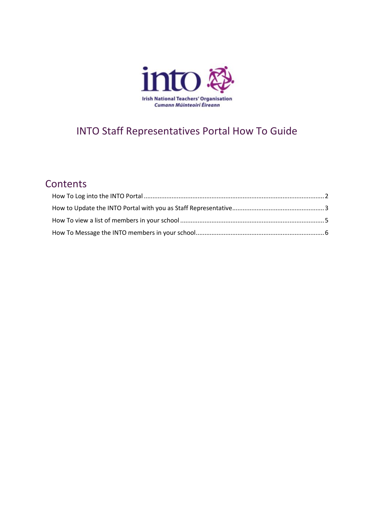

# INTO Staff Representatives Portal How To Guide

## **Contents**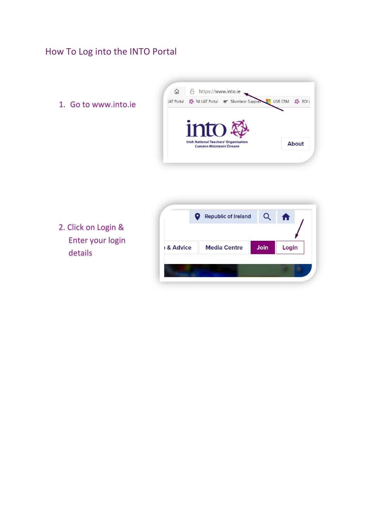## <span id="page-1-0"></span>How To Log into the INTO Portal

1. Go to www.into.ie



2. Click on Login & Enter your login details

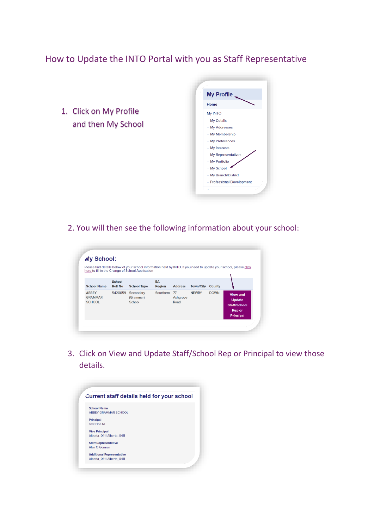#### <span id="page-2-0"></span>How to Update the INTO Portal with you as Staff Representative

1. Click on My Profile and then My School



2. You will then see the following information about your school:

| My School:                                      |                                 |                                                  |              |                        |                  |             |                                                                                                                    |
|-------------------------------------------------|---------------------------------|--------------------------------------------------|--------------|------------------------|------------------|-------------|--------------------------------------------------------------------------------------------------------------------|
|                                                 |                                 | here to fill in the Change of School Application |              |                        |                  |             | Please find details below of your school information held by INTO. If you need to update your school, please click |
| <b>School Name</b>                              | <b>School</b><br><b>Roll No</b> | <b>School Type</b>                               | EA<br>Region | <b>Address</b>         | <b>Town/City</b> | County      |                                                                                                                    |
| <b>ABBEY</b><br><b>GRAMMAR</b><br><b>SCHOOL</b> | 5420059                         | Secondary<br>(Grammar)<br>School                 | Sourthern    | 77<br>Ashgrove<br>Road | <b>NEWRY</b>     | <b>DOWN</b> | <b>View and</b><br><b>Update</b><br><b>Staff/School</b><br><b>Rep or</b><br><b>Principal</b>                       |

3. Click on View and Update Staff/School Rep or Principal to view those details.

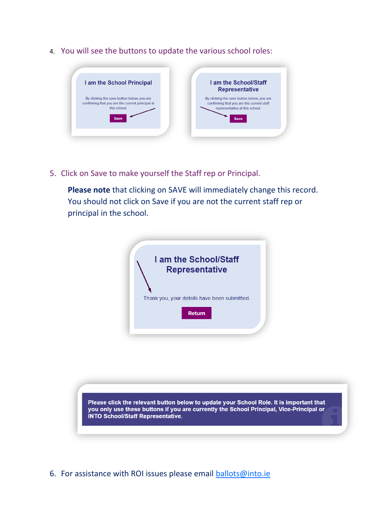4. You will see the buttons to update the various school roles:



5. Click on Save to make yourself the Staff rep or Principal.

**Please note** that clicking on SAVE will immediately change this record. You should not click on Save if you are not the current staff rep or principal in the school.





6. For assistance with ROI issues please email [ballots@into.ie](mailto:ballots@into.ie)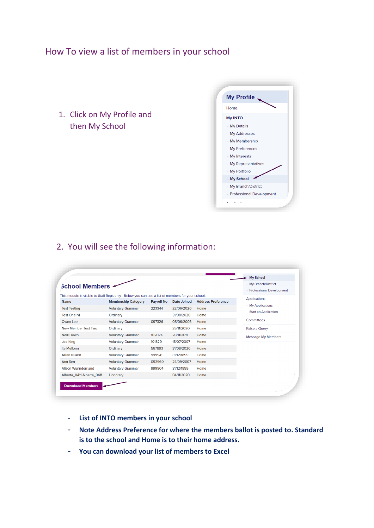#### <span id="page-4-0"></span>How To view a list of members in your school

1. Click on My Profile and then My School



#### 2. You will see the following information:

| <b>School Members ≁</b>                                                                          |                            |                   |                    |                           | <b>My School</b><br>My Branch/District<br><b>Professional Development</b> |
|--------------------------------------------------------------------------------------------------|----------------------------|-------------------|--------------------|---------------------------|---------------------------------------------------------------------------|
| This module is visible to Staff Reps only - Below you can see a list of members for your school: |                            |                   |                    |                           | <b>Applications</b>                                                       |
| <b>Name</b>                                                                                      | <b>Membership Category</b> | <b>Payroll No</b> | <b>Date Joined</b> | <b>Address Preference</b> | - My Applications                                                         |
| <b>Test Testing</b>                                                                              | <b>Voluntary Grammar</b>   | 223344            | 22/06/2020         | Home                      | <b>Start an Application</b>                                               |
| <b>Test One NI</b>                                                                               | Ordinary                   |                   | 31/08/2020         | Home                      |                                                                           |
| Owen Lee                                                                                         | <b>Voluntary Grammar</b>   | 097326            | 05/06/2003         | Home                      | Committees                                                                |
| New Member Test Two                                                                              | Ordinary                   |                   | 25/11/2020         | Home                      | Raise a Query                                                             |
| <b>Neill Down</b>                                                                                | <b>Voluntary Grammar</b>   | 102024            | 28/11/2011         | Home                      | <b>Message My Members</b>                                                 |
| <b>Joe King</b>                                                                                  | <b>Voluntary Grammar</b>   | 101829            | 15/07/2007         | Home                      |                                                                           |
| Ita Mellonn                                                                                      | Ordinary                   | 567893            | 31/08/2020         | Home                      |                                                                           |
| <b>Arran Niland</b>                                                                              | <b>Voluntary Grammar</b>   | 999941            | 31/12/1899         | Home                      |                                                                           |
| <b>Ann Serr</b>                                                                                  | <b>Voluntary Grammar</b>   | 092960            | 24/09/2007         | Home                      |                                                                           |
| <b>Alison Wunnderrland</b>                                                                       | <b>Voluntary Grammar</b>   | 999904            | 31/12/1899         | Home                      |                                                                           |
| Alberta 0411 Alberta 0411                                                                        | Honorary                   |                   | 04/11/2020         | Home                      |                                                                           |

- **List of INTO members in your school**
- **Note Address Preference for where the members ballot is posted to. Standard is to the school and Home is to their home address.**
- **You can download your list of members to Excel**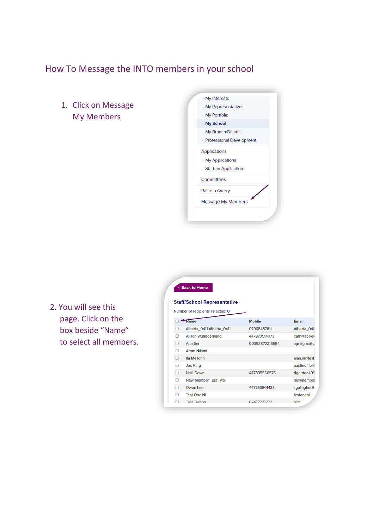## <span id="page-5-0"></span>How To Message the INTO members in your school

1. Click on Message My Members



2. You will see this page. Click on the box beside "Name" to select all members.

|   | < Back to Home                     |                    |                        |
|---|------------------------------------|--------------------|------------------------|
|   | <b>Staff/School Representative</b> |                    |                        |
|   | Number of recipients selected: 0   |                    |                        |
|   | <b>Name</b>                        | <b>Mobile</b>      | <b>Email</b>           |
|   | Alberta 0411 Alberta 0411          | 07968487811        | Alberta 041            |
|   | <b>Alison Wunnderrland</b>         | 447973514973       | jrath@abbey            |
| U | <b>Ann Serr</b>                    | 00353872313954     | agr@gmail.c            |
|   | <b>Arran Niland</b>                |                    |                        |
|   | Ita Mellonn                        |                    | alan.ni@test.          |
|   | Joe King                           |                    | paulinefriel@          |
|   | <b>Neill Down</b>                  | 447835566576       | dgordon499             |
|   | New Member Test Two                |                    | newmember              |
|   | Owen Lee                           | 447753801438       | sgallagher9            |
|   | <b>Test One NI</b>                 |                    | testoneni <sup>/</sup> |
|   | <b>Toet Toeting</b>                | <u> CELELELEVO</u> | $h \Omega^{+1}$        |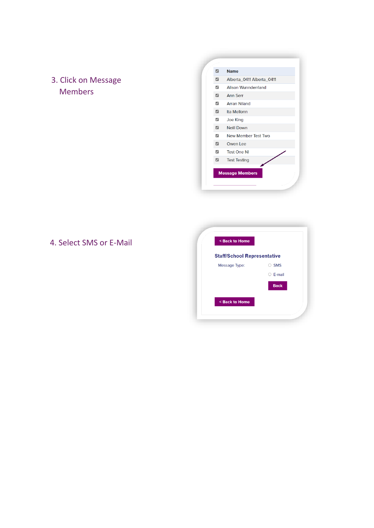3. Click on Message Members

| ø              | <b>Name</b>                |
|----------------|----------------------------|
| ø              | Alberta_0411 Alberta_0411  |
| $\overline{z}$ | <b>Alison Wunnderrland</b> |
| ø              | <b>Ann Serr</b>            |
| ø              | <b>Arran Niland</b>        |
| ø              | Ita Mellonn                |
| M              | <b>Joe King</b>            |
| ø              | <b>Neill Down</b>          |
| $\overline{z}$ | New Member Test Two        |
| $\overline{a}$ | Owen Lee                   |
| ø              | <b>Test One NI</b>         |
| ø              | <b>Test Testing</b>        |
|                | <b>Message Members</b>     |

#### 4. Select SMS or E-Mail

| < Back to Home                     |                 |
|------------------------------------|-----------------|
| <b>Staff/School Representative</b> |                 |
| Message Type:                      | <b>SMS</b><br>∩ |
|                                    | $\circ$ E-mail  |
|                                    | <b>Back</b>     |
| < Back to Home                     |                 |
|                                    |                 |